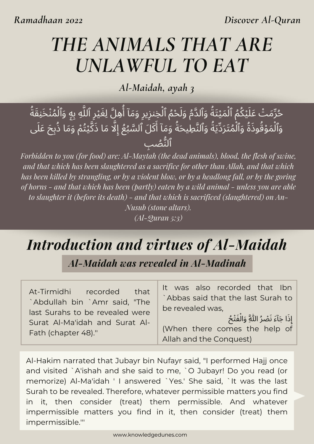*Discover Al-Quran*

# *THE ANIMALS THAT ARE UNLAWFUL TO EAT*

*Al-Maidah, ayah 3*

حُرِّمَتْ عَلَيْكُمُ ٱلْمَيْتَةُ وَٱلدَّمُ وَلَحْمُ ٱلْخِنزِيرِ وَمَآ أَهِلَّ لِغَيْرِ ٱللَّهِ بِهِ وَٱلْمُنْخَنِقَةُ<br>؞ٛۥ۠ وَٱلْمَوْقُوذَةُ وَٱلْمُتَرَدِّيَةُ وَٱلنَّطِيحَةُ وَمَآ أَكَلَ ٱلسَّبُعُ إِلَّا مَا ذَكَّيْتُمْ وَمَا ذُبِحَ عَلَى ٱلُّنُصِب

*Forbidden to you (for food) are: Al-Maytah (the dead animals), blood, the flesh of swine, and that which has been slaughtered as a sacrifice for other than Allah, and that which* has been killed by strangling, or by a violent blow, or by a headlong fall, or by the goring *of horns - and that which has been (partly) eaten by a wild animal - unless you are able to slaughter it (before its death) - and that which is sacrificed (slaughtered) on An-Nusub (stone altars). (Al-Quran 5:3)*

# *Introduction and virtues of Al-Maidah*

*Al-Maidah was revealed in Al-Madinah*

At-Tirmidhi recorded that `Abdullah bin `Amr said, "The last Surahs to be revealed were Surat Al-Ma'idah and Surat Al-Fath (chapter 48).''

It was also recorded that Ibn `Abbas said that the last Surah to be revealed was,

إِذَا جَآءَ نَصْرُ اللّٰهِ ۖ وَالْفَتْحُ (When there comes the help of Allah and the Conquest)

Al-Hakim narrated that Jubayr bin Nufayr said, "I performed Hajj once and visited `A'ishah and she said to me, `O Jubayr! Do you read (or memorize) Al-Ma'idah ' I answered `Yes.' She said, `It was the last Surah to be revealed. Therefore, whatever permissible matters you find in it, then consider (treat) them permissible. And whatever impermissible matters you find in it, then consider (treat) them impermissible.'''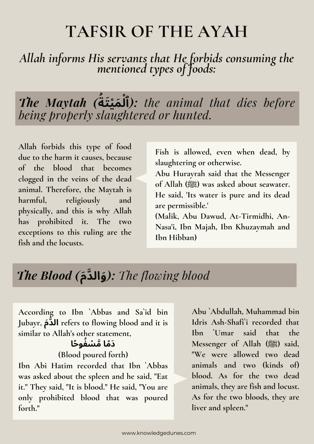# **TAFSIR OF THE AYAH**

#### *Allah informs His servants that He forbids consuming the mentioned types of foods:*

*The Maytah (* **ُة َمْيَت ْل ٱ***(: the animal that dies before being properly slaughtered or hunted.*

**Allah forbids this type of food due to the harm it causes, because of the blood that becomes clogged in the veins of the dead animal. Therefore, the Maytah is harmful, religiously and physically, and this is why Allah has prohibited it. The two exceptions to this ruling are the fish and the locusts.**

**Fish is allowed, even when dead, by slaughtering or otherwise.**

**Abu Hurayrah said that the Messenger of Allah (صلى الله عليه وسلم (was asked about seawater. He said, 'Its water is pure and its dead are permissible.'**

**(Malik, Abu Dawud, At-Tirmidhi, An-Nasa'i, Ibn Majah, Ibn Khuzaymah and Ibn Hibban)**

### *The Blood (***مَدَّوالَ***(: The flowing blood*

**According to Ibn `Abbas and Sa`id bin Jubayr, مَدَّال refers to flowing blood and it is similar to Allah's other statement,**

#### **َدًما َّمْسُفوًحا**

#### **(Blood poured forth)**

**Ibn Abi Hatim recorded that Ibn `Abbas was asked about the spleen and he said, "Eat it.'' They said, "It is blood.'' He said, "You are only prohibited blood that was poured forth.''**

**Abu `Abdullah, Muhammad bin Idris Ash-Shafi`i recorded that Ibn `Umar said that the Messenger of Allah (صلى الله عليه وسلم (said, "We were allowed two dead animals and two (kinds of) blood. As for the two dead animals, they are fish and locust. As for the two bloods, they are liver and spleen."**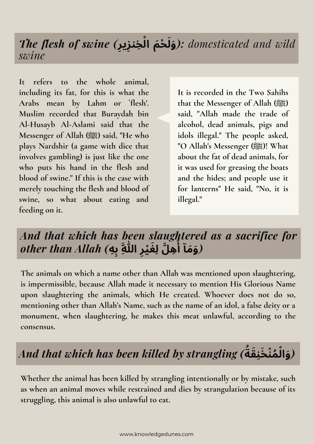#### *The flesh of swine (***رِزيِخنِ ْل** *wild and domesticated :)***َوَلْحَم ا** *swine*

**It refers to the whole animal, including its fat, for this is what the Arabs mean by Lahm or `flesh'. Muslim recorded that Buraydah bin Al-Husayb Al-Aslami said that the Messenger of Allah (صلى الله عليه وسلم (said, "He who plays Nardshir (a game with dice that involves gambling) is just like the one who puts his hand in the flesh and blood of swine." If this is the case with merely touching the flesh and blood of swine, so what about eating and feeding on it.**

**It is recorded in the Two Sahihs that the Messenger of Allah (صلى الله عليه وسلم( said, "Allah made the trade of alcohol, dead animals, pigs and idols illegal." The people asked, "O Allah's Messenger (صلى الله عليه وسلم !(What about the fat of dead animals, for it was used for greasing the boats and the hides; and people use it for lanterns'' He said, "No, it is illegal."**

#### *And that which has been slaughtered as a sacrifice for other than Allah (***هِبِ ِهَّل ِلَغْيِر ِهَّللا ُأ** *(***َوَمآ**

**The animals on which a name other than Allah was mentioned upon slaughtering, is impermissible, because Allah made it necessary to mention His Glorious Name upon slaughtering the animals, which He created. Whoever does not do so, mentioning other than Allah's Name, such as the name of an idol, a false deity or a monument, when slaughtering, he makes this meat unlawful, according to the consensus.**

## *And that which has been killed by strangling (* **ُة ُمْنَخِنَق ْل** *(***َوا**

**Whether the animal has been killed by strangling intentionally or by mistake, such as when an animal moves while restrained and dies by strangulation because of its struggling, this animal is also unlawful to eat.**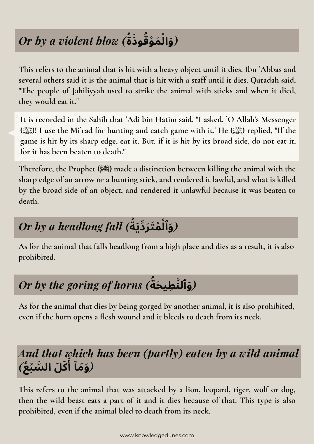# *Or by a violent blow (* **و َذ ُة ُق َمْو ْل** *(***َوا**

**This refers to the animal that is hit with a heavy object until it dies. Ibn `Abbas and several others said it is the animal that is hit with a staff until it dies. Qatadah said, "The people of Jahiliyyah used to strike the animal with sticks and when it died, they would eat it.''**

**It is recorded in the Sahih that `Adi bin Hatim said, "I asked, `O Allah's Messenger** (ﷺ)! I use the Mi'rad for hunting and catch game with it.' He (ﷺ) I use the Mi'rad for hunting and catch game with it.' He game is hit by its sharp edge, eat it. But, if it is hit by its broad side, do not eat it, **for it has been beaten to death."**

**Therefore, the Prophet (صلى الله عليه وسلم (made a distinction between killing the animal with the sharp edge of an arrow or a hunting stick, and rendered it lawful, and what is killed by the broad side of an object, and rendered it unlawful because it was beaten to death.**

## *Or by a headlong fall (* **ُة ُمَتَرِّدَي ْل** *(***َوٱ**

**As for the animal that falls headlong from a high place and dies as a result, it is also prohibited.**

# *Or by the goring of horns (* **ُة** *(***َوٱلَّنِطيَح**

**As for the animal that dies by being gorged by another animal, it is also prohibited, even if the horn opens a flesh wound and it bleeds to death from its neck.**

### *And that which has been (partly) eaten by a wild animal* **َكَل الَّسُبُع***)* **َأ** *(***َوَمآ**

**This refers to the animal that was attacked by a lion, leopard, tiger, wolf or dog, then the wild beast eats a part of it and it dies because of that. This type is also prohibited, even if the animal bled to death from its neck.**